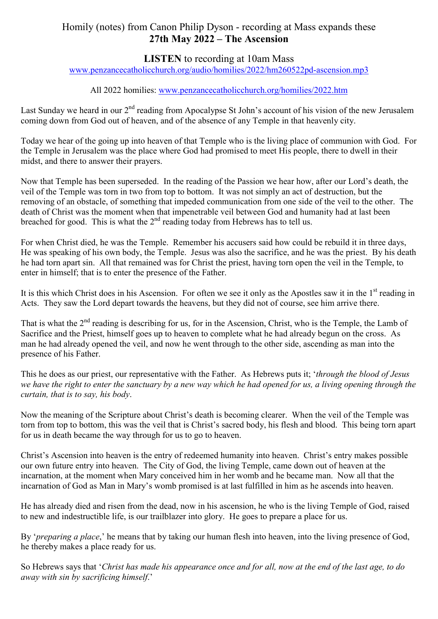# Homily (notes) from Canon Philip Dyson - recording at Mass expands these **27th May 2022 – The Ascension**

# **LISTEN** to recording at 10am Mass

www.penzancecatholicchurch.org/audio/homilies/2022/hm260522pd-ascension.mp3

#### All 2022 homilies: www.penzancecatholicchurch.org/homilies/2022.htm

Last Sunday we heard in our 2<sup>nd</sup> reading from Apocalypse St John's account of his vision of the new Jerusalem coming down from God out of heaven, and of the absence of any Temple in that heavenly city.

Today we hear of the going up into heaven of that Temple who is the living place of communion with God. For the Temple in Jerusalem was the place where God had promised to meet His people, there to dwell in their midst, and there to answer their prayers.

Now that Temple has been superseded. In the reading of the Passion we hear how, after our Lord's death, the veil of the Temple was torn in two from top to bottom. It was not simply an act of destruction, but the removing of an obstacle, of something that impeded communication from one side of the veil to the other. The death of Christ was the moment when that impenetrable veil between God and humanity had at last been breached for good. This is what the  $2<sup>nd</sup>$  reading today from Hebrews has to tell us.

For when Christ died, he was the Temple. Remember his accusers said how could be rebuild it in three days, He was speaking of his own body, the Temple. Jesus was also the sacrifice, and he was the priest. By his death he had torn apart sin. All that remained was for Christ the priest, having torn open the veil in the Temple, to enter in himself; that is to enter the presence of the Father.

It is this which Christ does in his Ascension. For often we see it only as the Apostles saw it in the  $1<sup>st</sup>$  reading in Acts. They saw the Lord depart towards the heavens, but they did not of course, see him arrive there.

That is what the  $2<sup>nd</sup>$  reading is describing for us, for in the Ascension, Christ, who is the Temple, the Lamb of Sacrifice and the Priest, himself goes up to heaven to complete what he had already begun on the cross. As man he had already opened the veil, and now he went through to the other side, ascending as man into the presence of his Father.

This he does as our priest, our representative with the Father. As Hebrews puts it; '*through the blood of Jesus we have the right to enter the sanctuary by a new way which he had opened for us, a living opening through the curtain, that is to say, his body*.

Now the meaning of the Scripture about Christ's death is becoming clearer. When the veil of the Temple was torn from top to bottom, this was the veil that is Christ's sacred body, his flesh and blood. This being torn apart for us in death became the way through for us to go to heaven.

Christ's Ascension into heaven is the entry of redeemed humanity into heaven. Christ's entry makes possible our own future entry into heaven. The City of God, the living Temple, came down out of heaven at the incarnation, at the moment when Mary conceived him in her womb and he became man. Now all that the incarnation of God as Man in Mary's womb promised is at last fulfilled in him as he ascends into heaven.

He has already died and risen from the dead, now in his ascension, he who is the living Temple of God, raised to new and indestructible life, is our trailblazer into glory. He goes to prepare a place for us.

By '*preparing a place*,' he means that by taking our human flesh into heaven, into the living presence of God, he thereby makes a place ready for us.

So Hebrews says that '*Christ has made his appearance once and for all, now at the end of the last age, to do away with sin by sacrificing himself*.'